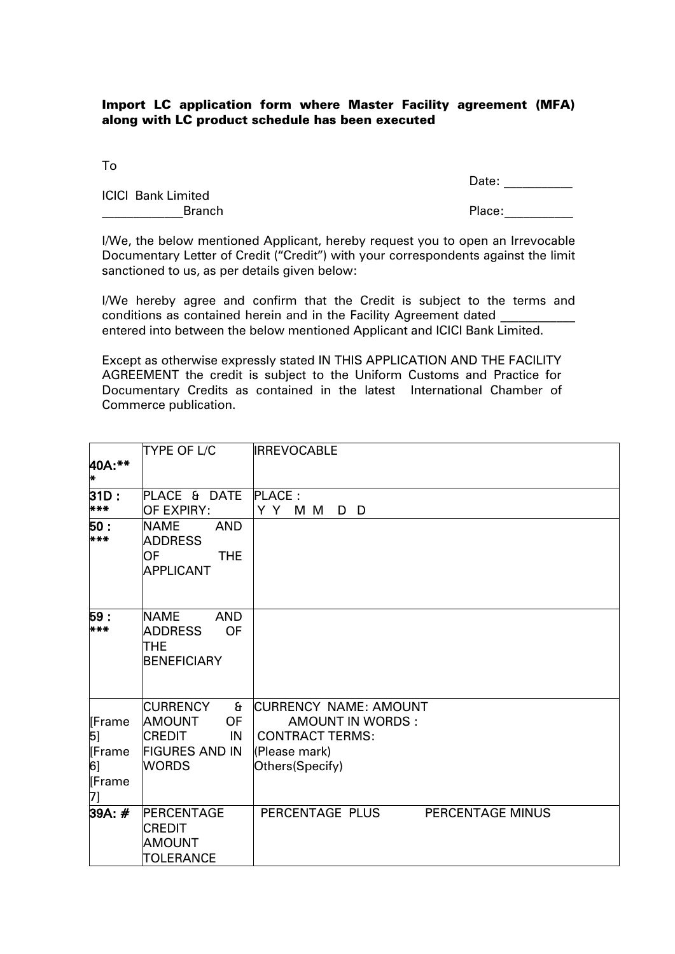## Import LC application form where Master Facility agreement (MFA) along with LC product schedule has been executed

To

Date: \_\_\_\_\_\_\_\_\_\_\_\_

ICICI Bank Limited example of the state of the state of the state of the Place:

I/We, the below mentioned Applicant, hereby request you to open an Irrevocable Documentary Letter of Credit ("Credit") with your correspondents against the limit sanctioned to us, as per details given below:

I/We hereby agree and confirm that the Credit is subject to the terms and conditions as contained herein and in the Facility Agreement dated entered into between the below mentioned Applicant and ICICI Bank Limited.

Except as otherwise expressly stated IN THIS APPLICATION AND THE FACILITY AGREEMENT the credit is subject to the Uniform Customs and Practice for Documentary Credits as contained in the latest International Chamber of Commerce publication.

| 40A:**<br>H.                                | <b>TYPE OF L/C</b>                                                                                                            | <b>IRREVOCABLE</b>                                                                                             |  |
|---------------------------------------------|-------------------------------------------------------------------------------------------------------------------------------|----------------------------------------------------------------------------------------------------------------|--|
| 31D:<br>***                                 | PLACE & DATE<br><b>OF EXPIRY:</b>                                                                                             | PLACE:<br>Y Y M M<br>D D                                                                                       |  |
| 50:<br>***                                  | <b>AND</b><br><b>NAME</b><br><b>ADDRESS</b><br>OF<br><b>THE</b><br><b>APPLICANT</b>                                           |                                                                                                                |  |
| 59:<br>***                                  | <b>AND</b><br><b>NAME</b><br><b>ADDRESS</b><br><b>OF</b><br><b>THE</b><br><b>BENEFICIARY</b>                                  |                                                                                                                |  |
| [Frame<br>5]<br>[Frame<br>6]<br>Frame<br>7] | <b>CURRENCY</b><br>$\mathbf{a}$<br><b>AMOUNT</b><br><b>OF</b><br><b>CREDIT</b><br>IN<br><b>FIGURES AND IN</b><br><b>WORDS</b> | CURRENCY NAME: AMOUNT<br><b>AMOUNT IN WORDS:</b><br><b>CONTRACT TERMS:</b><br>(Please mark)<br>Others(Specify) |  |
| 39A: #                                      | PERCENTAGE<br><b>CREDIT</b><br><b>AMOUNT</b><br>TOLERANCE                                                                     | PERCENTAGE PLUS<br>PERCENTAGE MINUS                                                                            |  |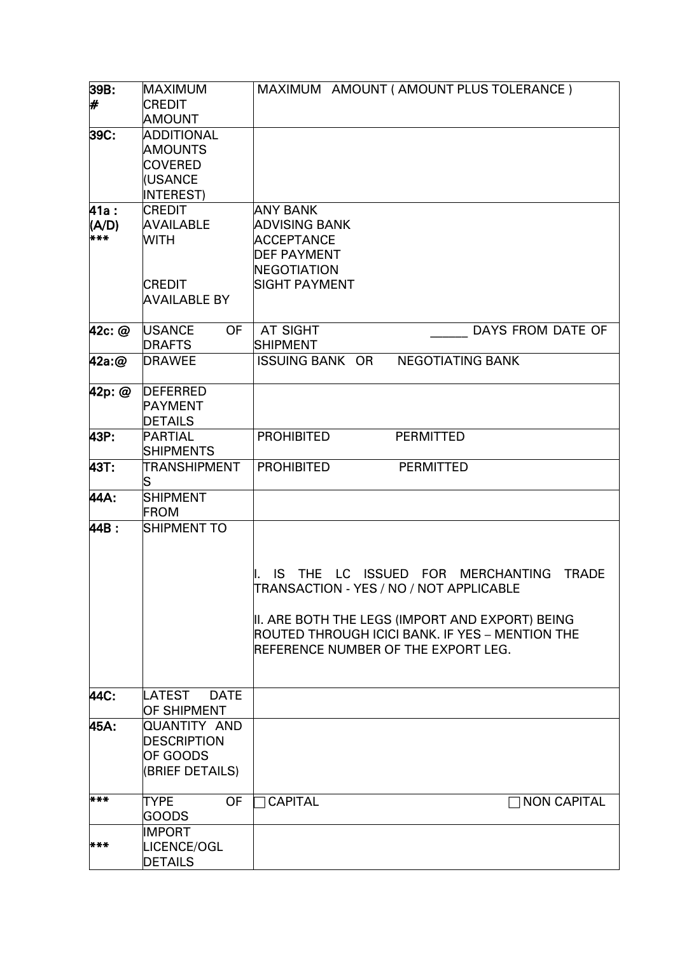| 39B:                         | <b>MAXIMUM</b>                                                                           | MAXIMUM AMOUNT (AMOUNT PLUS TOLERANCE)                                                                                                                                                                                                   |
|------------------------------|------------------------------------------------------------------------------------------|------------------------------------------------------------------------------------------------------------------------------------------------------------------------------------------------------------------------------------------|
| #                            | <b>CREDIT</b><br>AMOUNT                                                                  |                                                                                                                                                                                                                                          |
| 39C:                         | <b>ADDITIONAL</b><br><b>AMOUNTS</b><br><b>COVERED</b><br>(USANCE<br><b>INTEREST)</b>     |                                                                                                                                                                                                                                          |
| <b>41a :</b><br>(A/D)<br>*** | <b>CREDIT</b><br><b>AVAILABLE</b><br><b>WITH</b><br><b>CREDIT</b><br><b>AVAILABLE BY</b> | <b>ANY BANK</b><br><b>ADVISING BANK</b><br><b>ACCEPTANCE</b><br><b>DEF PAYMENT</b><br>NEGOTIATION<br>SIGHT PAYMENT                                                                                                                       |
| 42c: @                       | <b>USANCE</b><br><b>OF</b><br><b>DRAFTS</b>                                              | AT SIGHT<br>DAYS FROM DATE OF<br><b>SHIPMENT</b>                                                                                                                                                                                         |
| $42a$ :@                     | <b>DRAWEE</b>                                                                            | <b>ISSUING BANK OR</b><br><b>NEGOTIATING BANK</b>                                                                                                                                                                                        |
| 42p: @                       | <b>DEFERRED</b><br><b>PAYMENT</b><br>DETAILS                                             |                                                                                                                                                                                                                                          |
| 43P:                         | PARTIAL<br><b>SHIPMENTS</b>                                                              | <b>PROHIBITED</b><br><b>PERMITTED</b>                                                                                                                                                                                                    |
| 43T:                         | TRANSHIPMENT<br>S                                                                        | <b>PROHIBITED</b><br><b>PERMITTED</b>                                                                                                                                                                                                    |
| 44A:                         | <b>SHIPMENT</b><br><b>FROM</b>                                                           |                                                                                                                                                                                                                                          |
| 44B:                         | SHIPMENT TO                                                                              | IS THE LC ISSUED FOR MERCHANTING<br><b>TRADE</b><br>TRANSACTION - YES / NO / NOT APPLICABLE<br>II. ARE BOTH THE LEGS (IMPORT AND EXPORT) BEING<br>ROUTED THROUGH ICICI BANK. IF YES - MENTION THE<br>REFERENCE NUMBER OF THE EXPORT LEG. |
| 44C:                         | LATEST<br><b>DATE</b><br>OF SHIPMENT                                                     |                                                                                                                                                                                                                                          |
| 45A:                         | QUANTITY AND<br><b>DESCRIPTION</b><br>OF GOODS<br>(BRIEF DETAILS)                        |                                                                                                                                                                                                                                          |
| ***                          | <b>OF</b><br><b>TYPE</b><br>GOODS                                                        | <b>CAPITAL</b><br><b>NON CAPITAL</b>                                                                                                                                                                                                     |
| ***                          | <b>IMPORT</b><br>LICENCE/OGL<br><b>DETAILS</b>                                           |                                                                                                                                                                                                                                          |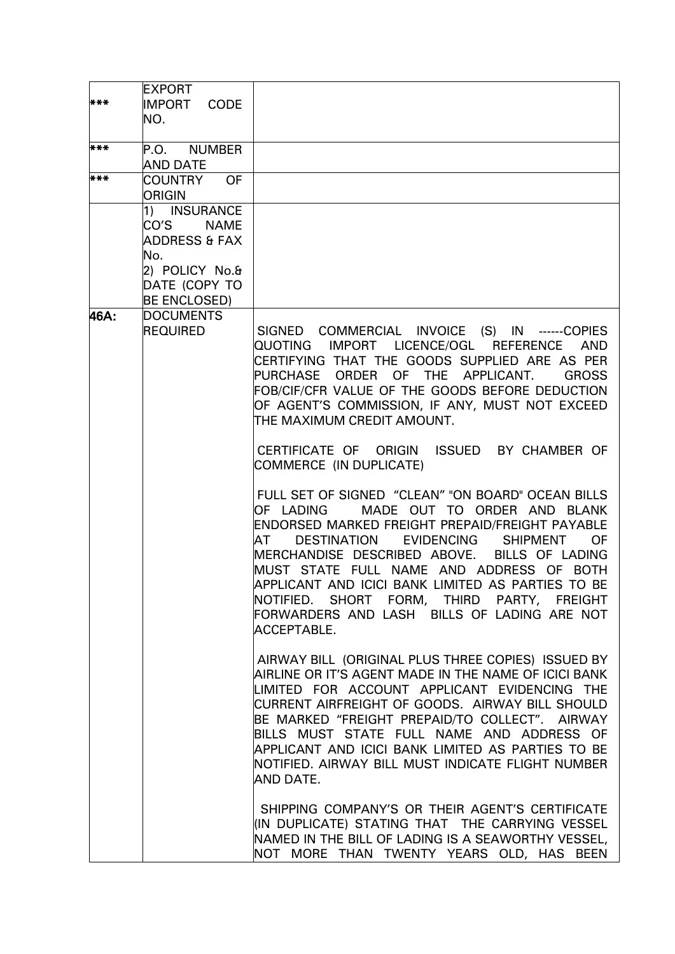| ***  | <b>EXPORT</b><br>IMPORT CODE<br>NO.                                                                                   |                                                                                                                                                                                                                                                                                                                                                                                                                                                                                            |
|------|-----------------------------------------------------------------------------------------------------------------------|--------------------------------------------------------------------------------------------------------------------------------------------------------------------------------------------------------------------------------------------------------------------------------------------------------------------------------------------------------------------------------------------------------------------------------------------------------------------------------------------|
| ***  | P.O. NUMBER<br><b>AND DATE</b>                                                                                        |                                                                                                                                                                                                                                                                                                                                                                                                                                                                                            |
| ***  | COUNTRY OF<br>ORIGIN                                                                                                  |                                                                                                                                                                                                                                                                                                                                                                                                                                                                                            |
|      | 1) INSURANCE<br>CO'S<br><b>NAME</b><br>ADDRESS & FAX<br>No.<br>2) POLICY No.&<br>DATE (COPY TO<br><b>BE ENCLOSED)</b> |                                                                                                                                                                                                                                                                                                                                                                                                                                                                                            |
| 46A: | <b>DOCUMENTS</b><br><b>REQUIRED</b>                                                                                   | SIGNED COMMERCIAL INVOICE (S) IN ------COPIES<br>QUOTING IMPORT LICENCE/OGL REFERENCE AND<br>CERTIFYING THAT THE GOODS SUPPLIED ARE AS PER<br>PURCHASE ORDER OF THE APPLICANT.<br><b>GROSS</b><br>FOB/CIF/CFR VALUE OF THE GOODS BEFORE DEDUCTION<br>OF AGENT'S COMMISSION, IF ANY, MUST NOT EXCEED<br>THE MAXIMUM CREDIT AMOUNT.                                                                                                                                                          |
|      |                                                                                                                       | CERTIFICATE OF ORIGIN ISSUED BY CHAMBER OF<br>COMMERCE (IN DUPLICATE)                                                                                                                                                                                                                                                                                                                                                                                                                      |
|      |                                                                                                                       | FULL SET OF SIGNED "CLEAN" "ON BOARD" OCEAN BILLS<br>MADE OUT TO ORDER AND BLANK<br>IOF LADING<br>ENDORSED MARKED FREIGHT PREPAID/FREIGHT PAYABLE<br><b>EVIDENCING</b><br>DESTINATION<br><b>SHIPMENT</b><br><b>OF</b><br>ATIT<br>MERCHANDISE DESCRIBED ABOVE. BILLS OF LADING<br>MUST STATE FULL NAME AND ADDRESS OF BOTH<br>APPLICANT AND ICICI BANK LIMITED AS PARTIES TO BE<br>NOTIFIED. SHORT FORM, THIRD PARTY, FREIGHT<br>FORWARDERS AND LASH BILLS OF LADING ARE NOT<br>ACCEPTABLE. |
|      |                                                                                                                       | AIRWAY BILL (ORIGINAL PLUS THREE COPIES) ISSUED BY<br>AIRLINE OR IT'S AGENT MADE IN THE NAME OF ICICI BANK<br>LIMITED FOR ACCOUNT APPLICANT EVIDENCING THE<br>CURRENT AIRFREIGHT OF GOODS. AIRWAY BILL SHOULD<br>BE MARKED "FREIGHT PREPAID/TO COLLECT". AIRWAY<br>BILLS MUST STATE FULL NAME AND ADDRESS OF<br>APPLICANT AND ICICI BANK LIMITED AS PARTIES TO BE<br>NOTIFIED. AIRWAY BILL MUST INDICATE FLIGHT NUMBER<br>AND DATE.                                                        |
|      |                                                                                                                       | SHIPPING COMPANY'S OR THEIR AGENT'S CERTIFICATE<br>(IN DUPLICATE) STATING THAT THE CARRYING VESSEL<br>NAMED IN THE BILL OF LADING IS A SEAWORTHY VESSEL,<br>NOT MORE THAN TWENTY YEARS OLD, HAS BEEN                                                                                                                                                                                                                                                                                       |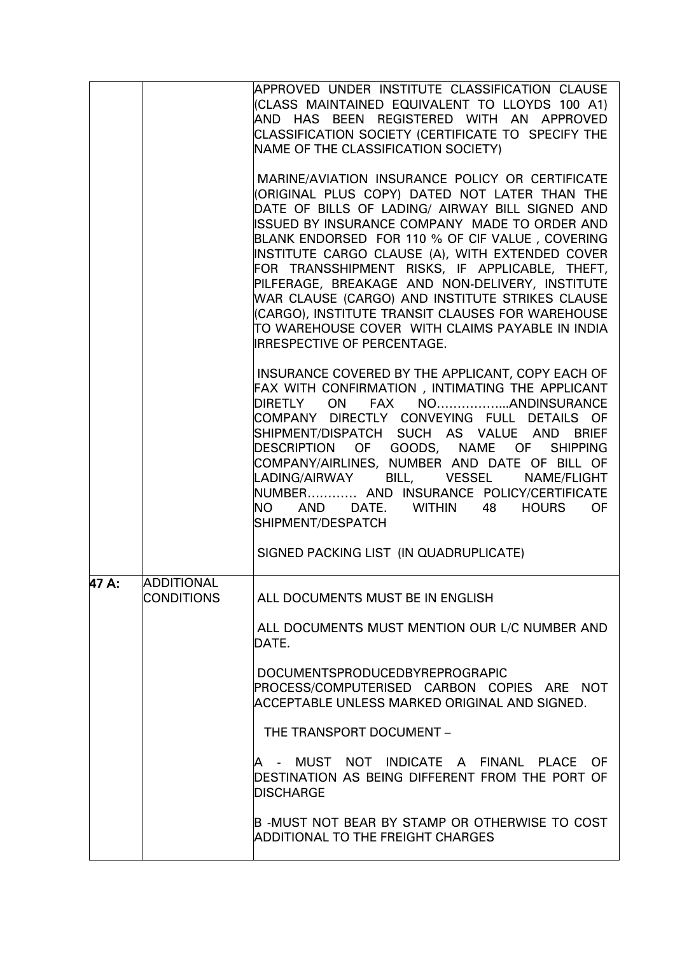|       |                                        | APPROVED UNDER INSTITUTE CLASSIFICATION CLAUSE<br>(CLASS MAINTAINED EQUIVALENT TO LLOYDS 100 A1)<br>AND HAS BEEN REGISTERED WITH AN APPROVED<br>CLASSIFICATION SOCIETY (CERTIFICATE TO SPECIFY THE<br>NAME OF THE CLASSIFICATION SOCIETY)<br>MARINE/AVIATION INSURANCE POLICY OR CERTIFICATE<br>(ORIGINAL PLUS COPY) DATED NOT LATER THAN THE<br>DATE OF BILLS OF LADING/ AIRWAY BILL SIGNED AND<br>ISSUED BY INSURANCE COMPANY MADE TO ORDER AND<br>BLANK ENDORSED FOR 110 % OF CIF VALUE, COVERING<br>INSTITUTE CARGO CLAUSE (A), WITH EXTENDED COVER<br>FOR TRANSSHIPMENT RISKS, IF APPLICABLE, THEFT,<br>PILFERAGE, BREAKAGE AND NON-DELIVERY, INSTITUTE<br>WAR CLAUSE (CARGO) AND INSTITUTE STRIKES CLAUSE |
|-------|----------------------------------------|-----------------------------------------------------------------------------------------------------------------------------------------------------------------------------------------------------------------------------------------------------------------------------------------------------------------------------------------------------------------------------------------------------------------------------------------------------------------------------------------------------------------------------------------------------------------------------------------------------------------------------------------------------------------------------------------------------------------|
|       |                                        | (CARGO), INSTITUTE TRANSIT CLAUSES FOR WAREHOUSE<br>TO WAREHOUSE COVER WITH CLAIMS PAYABLE IN INDIA<br>IRRESPECTIVE OF PERCENTAGE.                                                                                                                                                                                                                                                                                                                                                                                                                                                                                                                                                                              |
|       |                                        | INSURANCE COVERED BY THE APPLICANT, COPY EACH OF<br>FAX WITH CONFIRMATION, INTIMATING THE APPLICANT<br>DIRETLY ON FAX NOANDINSURANCE<br>COMPANY DIRECTLY CONVEYING FULL DETAILS OF<br>SHIPMENT/DISPATCH SUCH AS VALUE AND BRIEF<br>DESCRIPTION OF GOODS, NAME OF SHIPPING<br>COMPANY/AIRLINES, NUMBER AND DATE OF BILL OF<br>LADING/AIRWAY BILL, VESSEL NAME/FLIGHT<br>NUMBER AND INSURANCE POLICY/CERTIFICATE<br>AND DATE. WITHIN 48 HOURS<br><b>OF</b><br><b>NO</b><br>SHIPMENT/DESPATCH                                                                                                                                                                                                                      |
|       |                                        | SIGNED PACKING LIST (IN QUADRUPLICATE)                                                                                                                                                                                                                                                                                                                                                                                                                                                                                                                                                                                                                                                                          |
| 47 A: | <b>ADDITIONAL</b><br><b>CONDITIONS</b> | ALL DOCUMENTS MUST BE IN ENGLISH<br>ALL DOCUMENTS MUST MENTION OUR L/C NUMBER AND<br>DATE.                                                                                                                                                                                                                                                                                                                                                                                                                                                                                                                                                                                                                      |
|       |                                        | <b>DOCUMENTSPRODUCEDBYREPROGRAPIC</b><br>PROCESS/COMPUTERISED CARBON COPIES ARE NOT<br>ACCEPTABLE UNLESS MARKED ORIGINAL AND SIGNED.                                                                                                                                                                                                                                                                                                                                                                                                                                                                                                                                                                            |
|       |                                        | THE TRANSPORT DOCUMENT -                                                                                                                                                                                                                                                                                                                                                                                                                                                                                                                                                                                                                                                                                        |
|       |                                        | IA - MUST NOT INDICATE A FINANL PLACE OF<br>DESTINATION AS BEING DIFFERENT FROM THE PORT OF<br><b>DISCHARGE</b>                                                                                                                                                                                                                                                                                                                                                                                                                                                                                                                                                                                                 |
|       |                                        | B -MUST NOT BEAR BY STAMP OR OTHERWISE TO COST<br>ADDITIONAL TO THE FREIGHT CHARGES                                                                                                                                                                                                                                                                                                                                                                                                                                                                                                                                                                                                                             |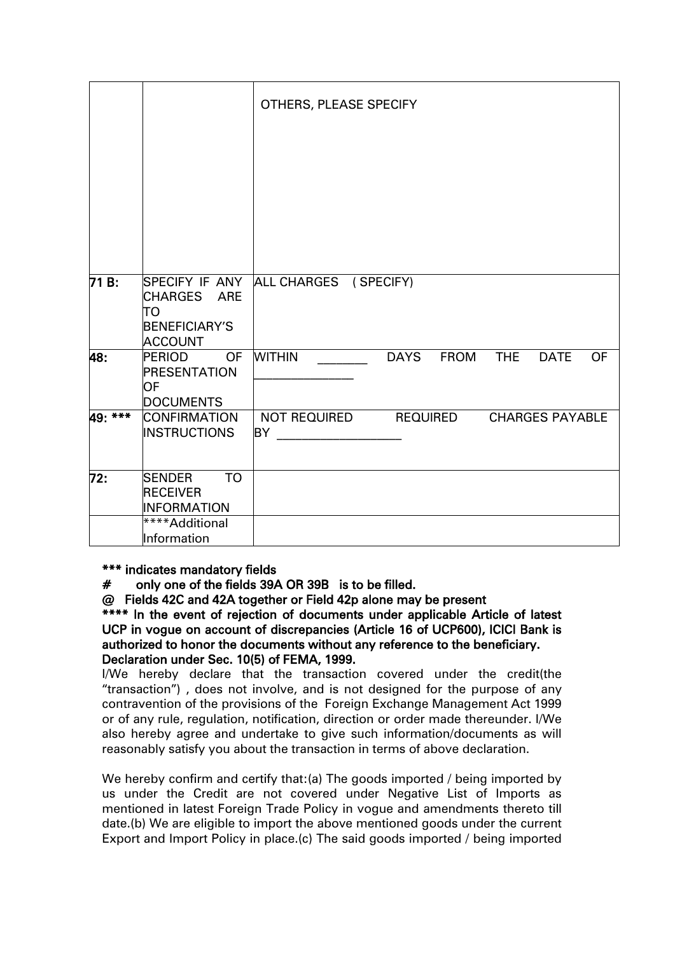|         |                                                                             | OTHERS, PLEASE SPECIFY                                     |
|---------|-----------------------------------------------------------------------------|------------------------------------------------------------|
|         |                                                                             |                                                            |
| 71 B:   | CHARGES ARE<br>TO<br><b>BENEFICIARY'S</b><br><b>ACCOUNT</b>                 | SPECIFY IF ANY ALL CHARGES (SPECIFY)                       |
| 48:     | <b>PERIOD</b><br><b>OF</b><br><b>PRESENTATION</b><br>OF<br><b>DOCUMENTS</b> | <b>WITHIN</b><br>DAYS FROM THE<br><b>DATE</b><br><b>OF</b> |
| 49: *** | CONFIRMATION<br><b>INSTRUCTIONS</b>                                         | NOT REQUIRED REQUIRED<br><b>CHARGES PAYABLE</b><br>BY      |
| 72:     | <b>TO</b><br><b>SENDER</b><br><b>RECEIVER</b><br><b>INFORMATION</b>         |                                                            |
|         | ****Additional<br>Information                                               |                                                            |

\*\*\* indicates mandatory fields

# only one of the fields 39A OR 39B is to be filled.

@ Fields 42C and 42A together or Field 42p alone may be present

\*\*\*\* In the event of rejection of documents under applicable Article of latest UCP in vogue on account of discrepancies (Article 16 of UCP600), ICICI Bank is authorized to honor the documents without any reference to the beneficiary. Declaration under Sec. 10(5) of FEMA, 1999.

I/We hereby declare that the transaction covered under the credit(the "transaction") , does not involve, and is not designed for the purpose of any contravention of the provisions of the Foreign Exchange Management Act 1999 or of any rule, regulation, notification, direction or order made thereunder. I/We also hereby agree and undertake to give such information/documents as will reasonably satisfy you about the transaction in terms of above declaration.

We hereby confirm and certify that:(a) The goods imported / being imported by us under the Credit are not covered under Negative List of Imports as mentioned in latest Foreign Trade Policy in vogue and amendments thereto till date.(b) We are eligible to import the above mentioned goods under the current Export and Import Policy in place.(c) The said goods imported / being imported